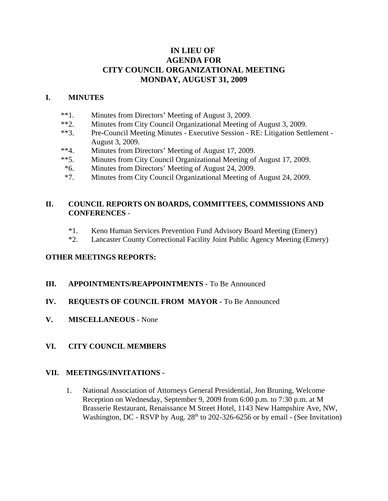# **IN LIEU OF AGENDA FOR CITY COUNCIL ORGANIZATIONAL MEETING MONDAY, AUGUST 31, 2009**

### **I. MINUTES**

- \*\*1. Minutes from Directors' Meeting of August 3, 2009.
- \*\*2. Minutes from City Council Organizational Meeting of August 3, 2009.
- \*\*3. Pre-Council Meeting Minutes Executive Session RE: Litigation Settlement August 3, 2009.
- \*\*4. Minutes from Directors' Meeting of August 17, 2009.
- \*\*5. Minutes from City Council Organizational Meeting of August 17, 2009.
- \*6. Minutes from Directors' Meeting of August 24, 2009.
- \*7. Minutes from City Council Organizational Meeting of August 24, 2009.

## **II. COUNCIL REPORTS ON BOARDS, COMMITTEES, COMMISSIONS AND CONFERENCES** -

- \*1. Keno Human Services Prevention Fund Advisory Board Meeting (Emery)
- \*2. Lancaster County Correctional Facility Joint Public Agency Meeting (Emery)

#### **OTHER MEETINGS REPORTS:**

- **III. APPOINTMENTS/REAPPOINTMENTS -** To Be Announced
- **IV. REQUESTS OF COUNCIL FROM MAYOR -** To Be Announced
- **V. MISCELLANEOUS -** None
- **VI. CITY COUNCIL MEMBERS**

#### **VII. MEETINGS/INVITATIONS -**

1. National Association of Attorneys General Presidential, Jon Bruning, Welcome Reception on Wednesday, September 9, 2009 from 6:00 p.m. to 7:30 p.m. at M Brasserie Restaurant, Renaissance M Street Hotel, 1143 New Hampshire Ave, NW, Washington, DC - RSVP by Aug.  $28<sup>th</sup>$  to 202-326-6256 or by email - (See Invitation)